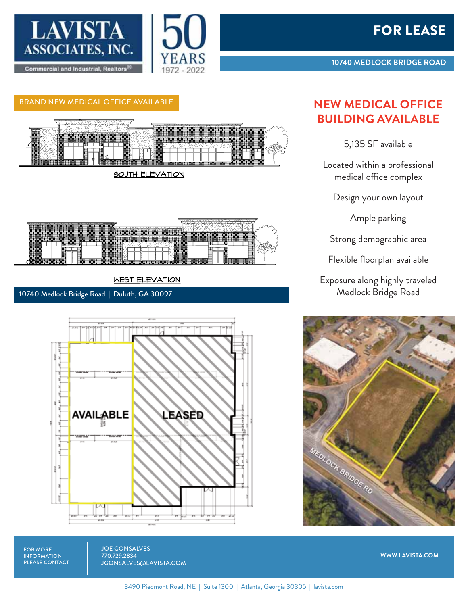



## BRAND NEW MEDICAL OFFICE AVAILABLE **NEW MEDICAL OFFICE**



SOUTH ELEVATION



## **WEST ELEVATION**

10740 Medlock Bridge Road | Duluth, GA 30097



## **BUILDING AVAILABLE**

5,135 SF available

Located within a professional medical office complex

Design your own layout

Ample parking

Strong demographic area

Flexible floorplan available

Exposure along highly traveled Medlock Bridge Road



FOR MORE INFORMATION PLEASE CONTACT JOE GONSALVES 770.729.2834 JGONSALVES@LAVISTA.COM

**WWW.LAVISTA.COM**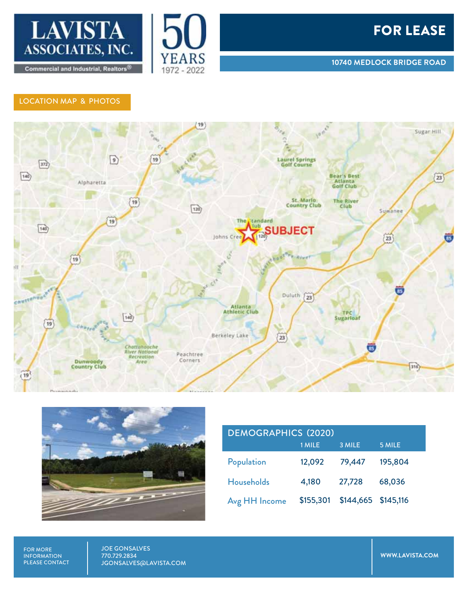





## LOCATION MAP & PHOTOS





| <b>DEMOGRAPHICS (2020)</b> |           |                     |         |
|----------------------------|-----------|---------------------|---------|
|                            | 1 MILE    | 3 MILE              | 5 MILE  |
| Population                 | 12,092    | 79,447              | 195,804 |
| <b>Households</b>          | 4,180     | 27,728              | 68,036  |
| Avg HH Income              | \$155,301 | \$144,665 \$145,116 |         |

FOR MORE INFORMATION PLEASE CONTACT JOE GONSALVES 770.729.2834 JGONSALVES@LAVISTA.COM